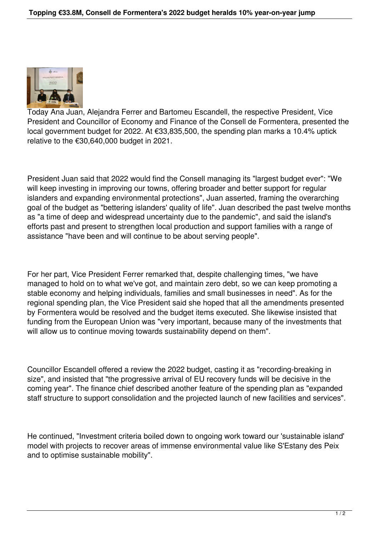

Today Ana Juan, Alejandra Ferrer and Bartomeu Escandell, the respective President, Vice President and Councillor of Economy and Finance of the Consell de Formentera, presented the local government budget for 2022. At €33,835,500, the spending plan marks a 10.4% uptick relative to the €30,640,000 budget in 2021.

President Juan said that 2022 would find the Consell managing its "largest budget ever": "We will keep investing in improving our towns, offering broader and better support for regular islanders and expanding environmental protections", Juan asserted, framing the overarching goal of the budget as "bettering islanders' quality of life". Juan described the past twelve months as "a time of deep and widespread uncertainty due to the pandemic", and said the island's efforts past and present to strengthen local production and support families with a range of assistance "have been and will continue to be about serving people".

For her part, Vice President Ferrer remarked that, despite challenging times, "we have managed to hold on to what we've got, and maintain zero debt, so we can keep promoting a stable economy and helping individuals, families and small businesses in need". As for the regional spending plan, the Vice President said she hoped that all the amendments presented by Formentera would be resolved and the budget items executed. She likewise insisted that funding from the European Union was "very important, because many of the investments that will allow us to continue moving towards sustainability depend on them".

Councillor Escandell offered a review the 2022 budget, casting it as "recording-breaking in size", and insisted that "the progressive arrival of EU recovery funds will be decisive in the coming year". The finance chief described another feature of the spending plan as "expanded staff structure to support consolidation and the projected launch of new facilities and services".

He continued, "Investment criteria boiled down to ongoing work toward our 'sustainable island' model with projects to recover areas of immense environmental value like S'Estany des Peix and to optimise sustainable mobility".